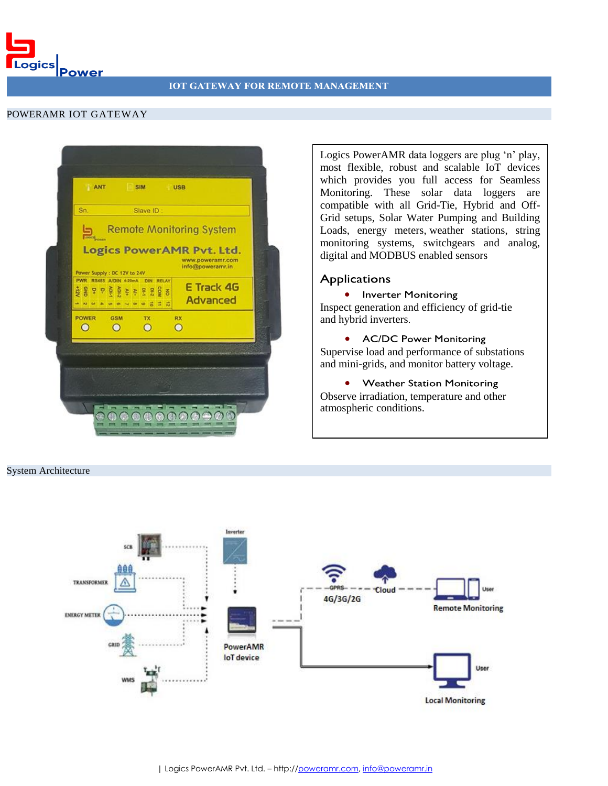Logics Power

## POWERAMR IOT GATEWAY

| Sn.                                                           |                              | Slave ID:            |                                                                   |
|---------------------------------------------------------------|------------------------------|----------------------|-------------------------------------------------------------------|
| $\overline{\mathbf{D}}$                                       |                              |                      | <b>Remote Monitoring System</b>                                   |
|                                                               | Power Supply : DC 12V to 24V |                      | Logics PowerAMR Pvt. Ltd.<br>www.poweramr.com<br>info@poweramr.in |
| PWR RS485 A/DIN 4-20mA DIN RELAY<br>- N U A U O V O O O O I I |                              |                      | E Track 4G<br><b>Advanced</b>                                     |
| <b>POWER</b><br>$\circ$                                       | GSM<br>$\circ$               | <b>TX</b><br>$\circ$ | RX<br>$\circ$                                                     |
|                                                               |                              |                      |                                                                   |
|                                                               |                              |                      |                                                                   |

Logics PowerAMR data loggers are plug 'n' play, most flexible, robust and scalable IoT devices which provides you full access for Seamless Monitoring. These solar data loggers are compatible with all Grid-Tie, Hybrid and Off-Grid setups, Solar Water Pumping and Building Loads, energy meters, weather stations, string monitoring systems, switchgears and analog, digital and MODBUS enabled sensors

## **Applications**

• Inverter Monitoring Inspect generation and efficiency of grid-tie and hybrid inverters.

• AC/DC Power Monitoring Supervise load and performance of substations and mini-grids, and monitor battery voltage.

• Weather Station Monitoring Observe irradiation, temperature and other atmospheric conditions.

## System Architecture